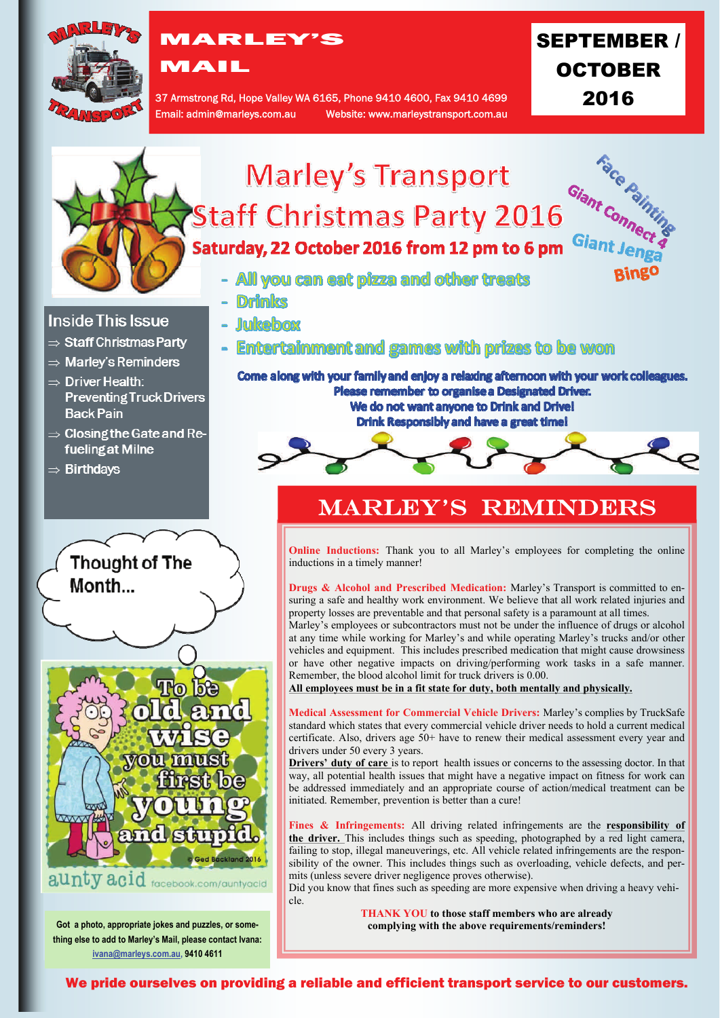

# MARLEY'S

MAIL

37 Armstrong Rd, Hope Valley WA 6165, Phone 9410 4600, Fax 9410 4699 Email: admin@marleys.com.au Website: www.marleystransport.com.au SEPTEMBER / OCTOBER 2016



Fines & Infringements: All driving related infringements are the **responsibility** of **the driver.** This includes things such as speeding, photographed by a red light camera, failing to stop, illegal maneuverings, etc. All vehicle related infringements are the responsibility of the owner. This includes things such as overloading, vehicle defects, and permits (unless severe driver negligence proves otherwise).

Did you know that fines such as speeding are more expensive when driving a heavy vehi-

**THANK YOU to those staff members who are already complying with the above requirements/reminders!**

**Got a photo, appropriate jokes and puzzles, or something else to add to Marley's Mail, please contact Ivana: [ivana@marleys.com.au,](mailto:ivana@marleys.com.au) 9410 4611**

aunty acid facebook.com/auntyacid

**Ando** 

We pride ourselves on providing a reliable and efficient transport service to our customers.

cle.